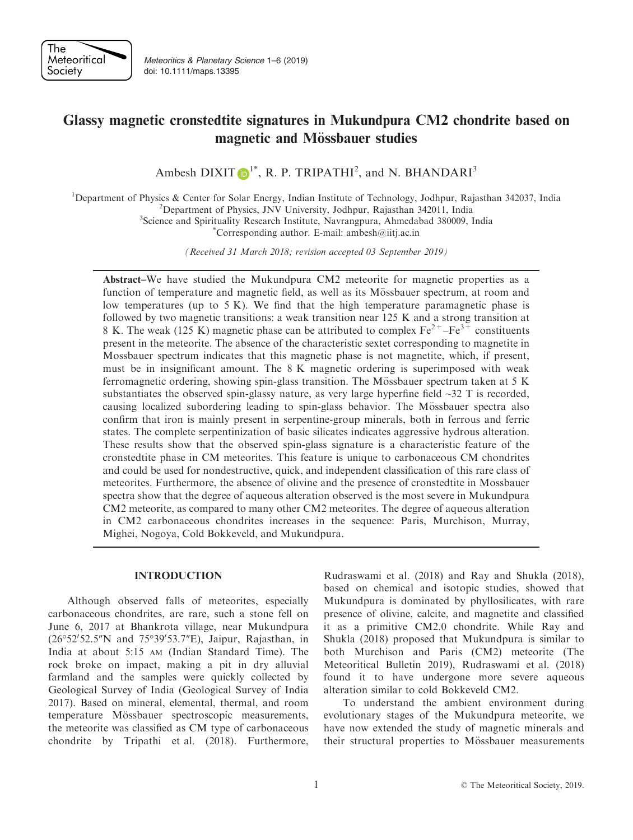

Meteoritics & Planetary Science 1–6 (2019) doi: 10.1111/maps.13395

# Glassy magnetic cronstedtite signatures in Mukundpura CM2 chondrite based on magnetic and Mössbauer studies

Ambesh DIXIT  $\mathbf{D}^{1*}$  $\mathbf{D}^{1*}$  $\mathbf{D}^{1*}$ , R. P. TRIPATHI<sup>2</sup>, and N. BHANDARI<sup>3</sup>

<sup>1</sup>Department of Physics & Center for Solar Energy, Indian Institute of Technology, Jodhpur, Rajasthan 342037, India <sup>2</sup>Department of Physics INV University, Jodhpur, Rajasthan 342011, India <sup>2</sup>Department of Physics, JNV University, Jodhpur, Rajasthan 342011, India

<sup>3</sup>Science and Spirituality Research Institute, Navrangpura, Ahmedabad 380009, India

Corresponding author. E-mail: ambesh $@$ iitj.ac.in

(Received 31 March 2018; revision accepted 03 September 2019)

Abstract–We have studied the Mukundpura CM2 meteorite for magnetic properties as a function of temperature and magnetic field, as well as its Mössbauer spectrum, at room and low temperatures (up to 5 K). We find that the high temperature paramagnetic phase is followed by two magnetic transitions: a weak transition near 125 K and a strong transition at 8 K. The weak (125 K) magnetic phase can be attributed to complex  $Fe^{2+}-Fe^{3+}$  constituents present in the meteorite. The absence of the characteristic sextet corresponding to magnetite in Mossbauer spectrum indicates that this magnetic phase is not magnetite, which, if present, must be in insignificant amount. The 8 K magnetic ordering is superimposed with weak ferromagnetic ordering, showing spin-glass transition. The Mössbauer spectrum taken at  $5 K$ substantiates the observed spin-glassy nature, as very large hyperfine field  $\sim$ 32 T is recorded, causing localized subordering leading to spin-glass behavior. The Mössbauer spectra also confirm that iron is mainly present in serpentine-group minerals, both in ferrous and ferric states. The complete serpentinization of basic silicates indicates aggressive hydrous alteration. These results show that the observed spin-glass signature is a characteristic feature of the cronstedtite phase in CM meteorites. This feature is unique to carbonaceous CM chondrites and could be used for nondestructive, quick, and independent classification of this rare class of meteorites. Furthermore, the absence of olivine and the presence of cronstedtite in Mossbauer spectra show that the degree of aqueous alteration observed is the most severe in Mukundpura CM2 meteorite, as compared to many other CM2 meteorites. The degree of aqueous alteration in CM2 carbonaceous chondrites increases in the sequence: Paris, Murchison, Murray, Mighei, Nogoya, Cold Bokkeveld, and Mukundpura.

## INTRODUCTION

Although observed falls of meteorites, especially carbonaceous chondrites, are rare, such a stone fell on June 6, 2017 at Bhankrota village, near Mukundpura (26°52'52.5"N and 75°39'53.7"E), Jaipur, Rajasthan, in India at about 5:15 AM (Indian Standard Time). The rock broke on impact, making a pit in dry alluvial farmland and the samples were quickly collected by Geological Survey of India (Geological Survey of India 2017). Based on mineral, elemental, thermal, and room temperature Mössbauer spectroscopic measurements, the meteorite was classified as CM type of carbonaceous chondrite by Tripathi et al. (2018). Furthermore,

Rudraswami et al. (2018) and Ray and Shukla (2018), based on chemical and isotopic studies, showed that Mukundpura is dominated by phyllosilicates, with rare presence of olivine, calcite, and magnetite and classified it as a primitive CM2.0 chondrite. While Ray and Shukla (2018) proposed that Mukundpura is similar to both Murchison and Paris (CM2) meteorite (The Meteoritical Bulletin 2019), Rudraswami et al. (2018) found it to have undergone more severe aqueous alteration similar to cold Bokkeveld CM2.

To understand the ambient environment during evolutionary stages of the Mukundpura meteorite, we have now extended the study of magnetic minerals and their structural properties to Mössbauer measurements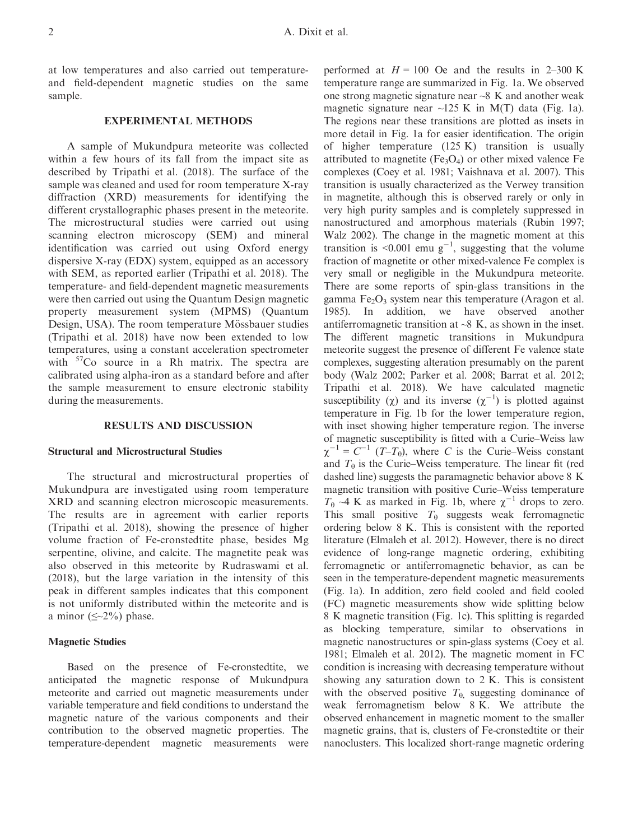at low temperatures and also carried out temperatureand field-dependent magnetic studies on the same sample.

# EXPERIMENTAL METHODS

A sample of Mukundpura meteorite was collected within a few hours of its fall from the impact site as described by Tripathi et al. (2018). The surface of the sample was cleaned and used for room temperature X-ray diffraction (XRD) measurements for identifying the different crystallographic phases present in the meteorite. The microstructural studies were carried out using scanning electron microscopy (SEM) and mineral identification was carried out using Oxford energy dispersive X-ray (EDX) system, equipped as an accessory with SEM, as reported earlier (Tripathi et al. 2018). The temperature- and field-dependent magnetic measurements were then carried out using the Quantum Design magnetic property measurement system (MPMS) (Quantum Design, USA). The room temperature Mössbauer studies (Tripathi et al. 2018) have now been extended to low temperatures, using a constant acceleration spectrometer with  ${}^{57}Co$  source in a Rh matrix. The spectra are calibrated using alpha-iron as a standard before and after the sample measurement to ensure electronic stability during the measurements.

#### RESULTS AND DISCUSSION

## Structural and Microstructural Studies

The structural and microstructural properties of Mukundpura are investigated using room temperature XRD and scanning electron microscopic measurements. The results are in agreement with earlier reports (Tripathi et al. 2018), showing the presence of higher volume fraction of Fe-cronstedtite phase, besides Mg serpentine, olivine, and calcite. The magnetite peak was also observed in this meteorite by Rudraswami et al. (2018), but the large variation in the intensity of this peak in different samples indicates that this component is not uniformly distributed within the meteorite and is a minor  $(\leq 2\%)$  phase.

### Magnetic Studies

Based on the presence of Fe-cronstedtite, we anticipated the magnetic response of Mukundpura meteorite and carried out magnetic measurements under variable temperature and field conditions to understand the magnetic nature of the various components and their contribution to the observed magnetic properties. The temperature-dependent magnetic measurements were

performed at  $H = 100$  Oe and the results in 2–300 K temperature range are summarized in Fig. 1a. We observed one strong magnetic signature near  $\sim$ 8 K and another weak magnetic signature near  $\sim$ 125 K in M(T) data (Fig. 1a). The regions near these transitions are plotted as insets in more detail in Fig. 1a for easier identification. The origin of higher temperature (125 K) transition is usually attributed to magnetite (Fe<sub>3</sub>O<sub>4</sub>) or other mixed valence Fe complexes (Coey et al. 1981; Vaishnava et al. 2007). This transition is usually characterized as the Verwey transition in magnetite, although this is observed rarely or only in very high purity samples and is completely suppressed in nanostructured and amorphous materials (Rubin 1997; Walz 2002). The change in the magnetic moment at this transition is <0.001 emu  $g^{-1}$ , suggesting that the volume fraction of magnetite or other mixed-valence Fe complex is very small or negligible in the Mukundpura meteorite. There are some reports of spin-glass transitions in the gamma  $Fe<sub>2</sub>O<sub>3</sub>$  system near this temperature (Aragon et al. 1985). In addition, we have observed another antiferromagnetic transition at  $\sim$ 8 K, as shown in the inset. The different magnetic transitions in Mukundpura meteorite suggest the presence of different Fe valence state complexes, suggesting alteration presumably on the parent body (Walz 2002; Parker et al. 2008; Barrat et al. 2012; Tripathi et al. 2018). We have calculated magnetic susceptibility ( $\chi$ ) and its inverse ( $\chi^{-1}$ ) is plotted against temperature in Fig. 1b for the lower temperature region, with inset showing higher temperature region. The inverse of magnetic susceptibility is fitted with a Curie–Weiss law  $\chi^{-1} = C^{-1}$  (*T*-*T*<sub>0</sub>), where *C* is the Curie–Weiss constant and  $T_{\theta}$  is the Curie–Weiss temperature. The linear fit (red dashed line) suggests the paramagnetic behavior above 8 K magnetic transition with positive Curie–Weiss temperature  $T_{\theta} \sim 4$  K as marked in Fig. 1b, where  $\chi^{-1}$  drops to zero. This small positive  $T_{\theta}$  suggests weak ferromagnetic ordering below 8 K. This is consistent with the reported literature (Elmaleh et al. 2012). However, there is no direct evidence of long-range magnetic ordering, exhibiting ferromagnetic or antiferromagnetic behavior, as can be seen in the temperature-dependent magnetic measurements (Fig. 1a). In addition, zero field cooled and field cooled (FC) magnetic measurements show wide splitting below 8 K magnetic transition (Fig. 1c). This splitting is regarded as blocking temperature, similar to observations in magnetic nanostructures or spin-glass systems (Coey et al. 1981; Elmaleh et al. 2012). The magnetic moment in FC condition is increasing with decreasing temperature without showing any saturation down to 2 K. This is consistent with the observed positive  $T_{\theta}$ , suggesting dominance of weak ferromagnetism below 8 K. We attribute the observed enhancement in magnetic moment to the smaller magnetic grains, that is, clusters of Fe-cronstedtite or their nanoclusters. This localized short-range magnetic ordering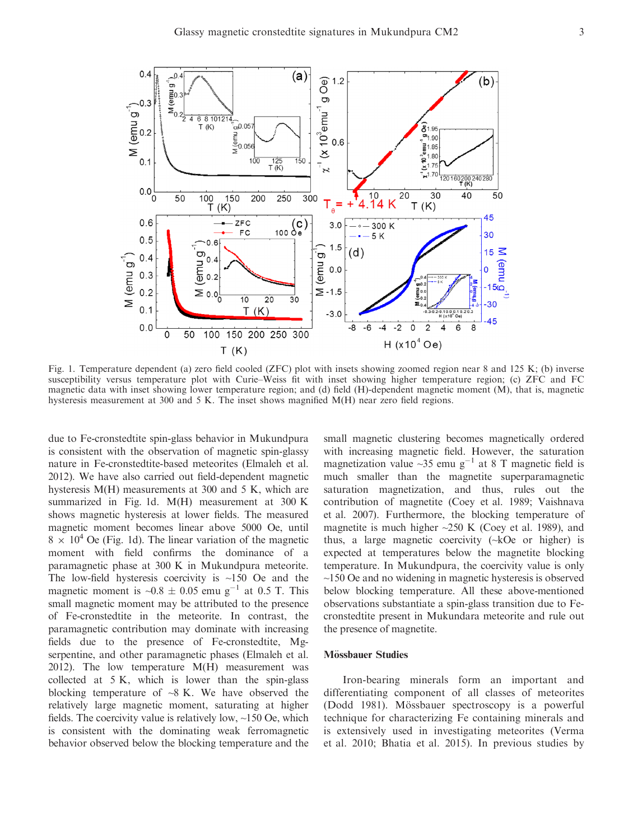

Fig. 1. Temperature dependent (a) zero field cooled (ZFC) plot with insets showing zoomed region near 8 and 125 K; (b) inverse susceptibility versus temperature plot with Curie–Weiss fit with inset showing higher temperature region; (c) ZFC and FC magnetic data with inset showing lower temperature region; and (d) field (H)-dependent magnetic moment (M), that is, magnetic hysteresis measurement at 300 and 5 K. The inset shows magnified M(H) near zero field regions.

due to Fe-cronstedtite spin-glass behavior in Mukundpura is consistent with the observation of magnetic spin-glassy nature in Fe-cronstedtite-based meteorites (Elmaleh et al. 2012). We have also carried out field-dependent magnetic hysteresis M(H) measurements at 300 and 5 K, which are summarized in Fig. 1d. M(H) measurement at 300 K shows magnetic hysteresis at lower fields. The measured magnetic moment becomes linear above 5000 Oe, until  $8 \times 10^4$  Oe (Fig. 1d). The linear variation of the magnetic moment with field confirms the dominance of a paramagnetic phase at 300 K in Mukundpura meteorite. The low-field hysteresis coercivity is  $\sim$ 150 Oe and the magnetic moment is  $\sim 0.8 \pm 0.05$  emu g<sup>-1</sup> at 0.5 T. This small magnetic moment may be attributed to the presence of Fe-cronstedtite in the meteorite. In contrast, the paramagnetic contribution may dominate with increasing fields due to the presence of Fe-cronstedtite, Mgserpentine, and other paramagnetic phases (Elmaleh et al. 2012). The low temperature  $M(H)$  measurement was collected at 5 K, which is lower than the spin-glass blocking temperature of  $\sim$ 8 K. We have observed the relatively large magnetic moment, saturating at higher fields. The coercivity value is relatively low, ~150 Oe, which is consistent with the dominating weak ferromagnetic behavior observed below the blocking temperature and the

small magnetic clustering becomes magnetically ordered with increasing magnetic field. However, the saturation magnetization value  $\sim$ 35 emu g<sup>-1</sup> at 8 T magnetic field is much smaller than the magnetite superparamagnetic saturation magnetization, and thus, rules out the contribution of magnetite (Coey et al. 1989; Vaishnava et al. 2007). Furthermore, the blocking temperature of magnetite is much higher  $\sim$ 250 K (Coey et al. 1989), and thus, a large magnetic coercivity (~kOe or higher) is expected at temperatures below the magnetite blocking temperature. In Mukundpura, the coercivity value is only ~150 Oe and no widening in magnetic hysteresis is observed below blocking temperature. All these above-mentioned observations substantiate a spin-glass transition due to Fecronstedtite present in Mukundara meteorite and rule out the presence of magnetite.

### Mössbauer Studies

Iron-bearing minerals form an important and differentiating component of all classes of meteorites (Dodd 1981). Mössbauer spectroscopy is a powerful technique for characterizing Fe containing minerals and is extensively used in investigating meteorites (Verma et al. 2010; Bhatia et al. 2015). In previous studies by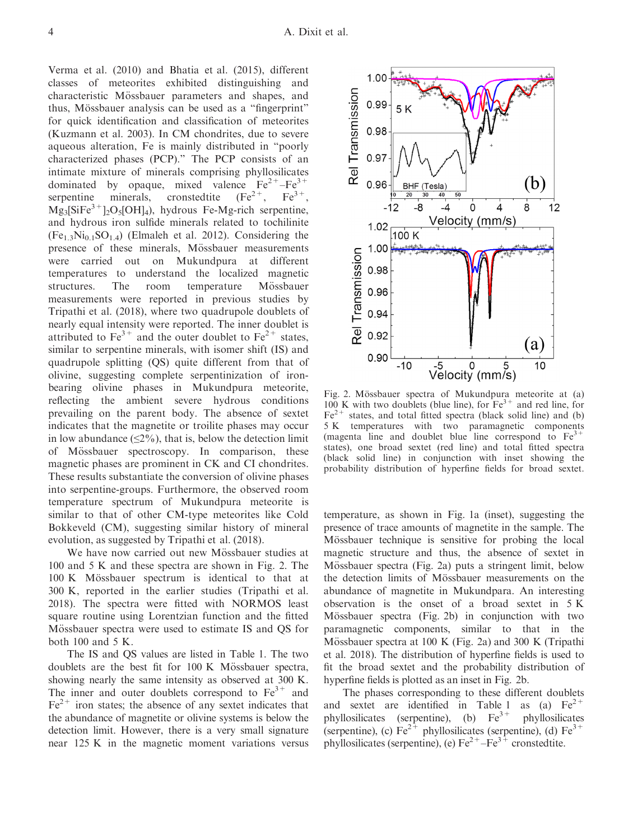Verma et al. (2010) and Bhatia et al. (2015), different classes of meteorites exhibited distinguishing and characteristic Mössbauer parameters and shapes, and thus, Mössbauer analysis can be used as a "fingerprint" for quick identification and classification of meteorites (Kuzmann et al. 2003). In CM chondrites, due to severe aqueous alteration, Fe is mainly distributed in "poorly characterized phases (PCP)." The PCP consists of an intimate mixture of minerals comprising phyllosilicates dominated by opaque, mixed valence  $Fe^{2+}-Fe^{3+}$ <br>serpentine minerals, cronstedtite  $(Fe^{2+}, Fe^{3+})$ serpentine minerals, cronstedtite  $Mg_3[SiFe^{3+}]_2O_5[OH]_4$ ), hydrous Fe-Mg-rich serpentine, and hydrous iron sulfide minerals related to tochilinite  $(Fe_{1,3}Ni_{0,1}SO_{1,4})$  (Elmaleh et al. 2012). Considering the presence of these minerals, Mössbauer measurements were carried out on Mukundpura at different temperatures to understand the localized magnetic structures. The room temperature Mössbauer measurements were reported in previous studies by Tripathi et al. (2018), where two quadrupole doublets of nearly equal intensity were reported. The inner doublet is attributed to  $Fe^{3+}$  and the outer doublet to  $Fe^{2+}$  states, similar to serpentine minerals, with isomer shift (IS) and quadrupole splitting (QS) quite different from that of olivine, suggesting complete serpentinization of ironbearing olivine phases in Mukundpura meteorite, reflecting the ambient severe hydrous conditions prevailing on the parent body. The absence of sextet indicates that the magnetite or troilite phases may occur in low abundance  $(\leq 2\%)$ , that is, below the detection limit of Mössbauer spectroscopy. In comparison, these magnetic phases are prominent in CK and CI chondrites. These results substantiate the conversion of olivine phases into serpentine-groups. Furthermore, the observed room temperature spectrum of Mukundpura meteorite is similar to that of other CM-type meteorites like Cold Bokkeveld (CM), suggesting similar history of mineral evolution, as suggested by Tripathi et al. (2018).

We have now carried out new Mössbauer studies at 100 and 5 K and these spectra are shown in Fig. 2. The  $100 K$  Mössbauer spectrum is identical to that at 300 K, reported in the earlier studies (Tripathi et al. 2018). The spectra were fitted with NORMOS least square routine using Lorentzian function and the fitted Mössbauer spectra were used to estimate IS and QS for both 100 and 5 K.

The IS and QS values are listed in Table 1. The two doublets are the best fit for  $100 \text{ K}$  Mössbauer spectra, showing nearly the same intensity as observed at 300 K. The inner and outer doublets correspond to  $Fe<sup>3+</sup>$  and  $Fe<sup>2+</sup>$  iron states; the absence of any sextet indicates that the abundance of magnetite or olivine systems is below the detection limit. However, there is a very small signature near 125 K in the magnetic moment variations versus



Fig. 2. Mössbauer spectra of Mukundpura meteorite at (a) 100 K with two doublets (blue line), for  $Fe<sup>3+</sup>$  and red line, for  $Fe<sup>2+</sup>$  states, and total fitted spectra (black solid line) and (b) 5 K temperatures with two paramagnetic components (magenta line and doublet blue line correspond to  $Fe<sup>3+</sup>$ states), one broad sextet (red line) and total fitted spectra (black solid line) in conjunction with inset showing the probability distribution of hyperfine fields for broad sextet.

temperature, as shown in Fig. 1a (inset), suggesting the presence of trace amounts of magnetite in the sample. The Mössbauer technique is sensitive for probing the local magnetic structure and thus, the absence of sextet in Mössbauer spectra (Fig. 2a) puts a stringent limit, below the detection limits of Mössbauer measurements on the abundance of magnetite in Mukundpara. An interesting observation is the onset of a broad sextet in 5 K Mössbauer spectra (Fig. 2b) in conjunction with two paramagnetic components, similar to that in the Mössbauer spectra at 100 K (Fig. 2a) and 300 K (Tripathi et al. 2018). The distribution of hyperfine fields is used to fit the broad sextet and the probability distribution of hyperfine fields is plotted as an inset in Fig. 2b.

The phases corresponding to these different doublets and sextet are identified in Table 1 as (a)  $Fe^{2+}$ phyllosilicates (serpentine), (b)  $Fe<sup>3+</sup>$  phyllosilicates (serpentine), (c)  $Fe^{2+}$  phyllosilicates (serpentine), (d)  $Fe^{3+}$ phyllosilicates (serpentine), (e)  $Fe^{2+}-Fe^{3+}$  cronstedtite.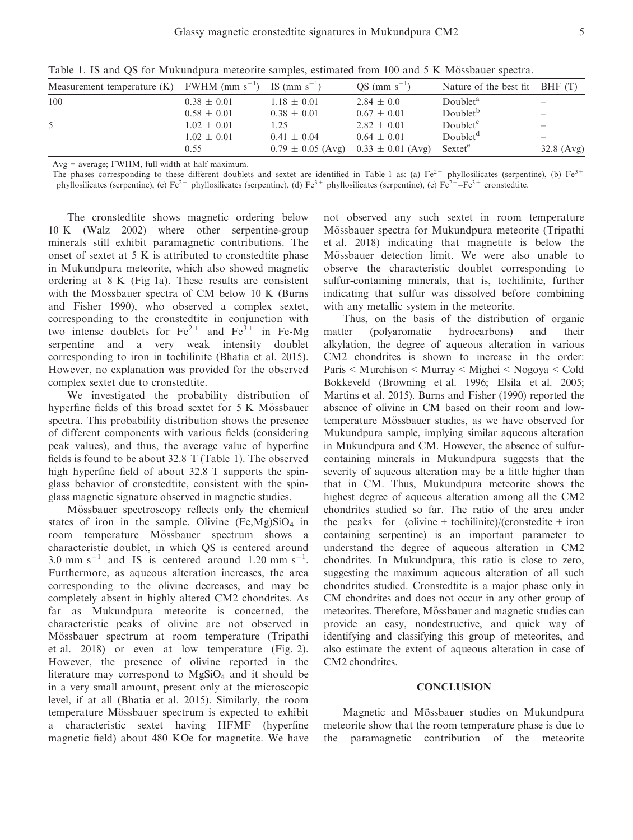| Measurement temperature $(K)$ FWHM (mm s <sup>-1</sup> ) |                 | IS (mm $s^{-1}$ )     | $QS (mm s^{-1})$      | Nature of the best fit | BHF(T)                          |
|----------------------------------------------------------|-----------------|-----------------------|-----------------------|------------------------|---------------------------------|
| 100                                                      | $0.38 \pm 0.01$ | $1.18 \pm 0.01$       | $2.84 + 0.0$          | Doublet <sup>a</sup>   |                                 |
|                                                          | $0.58 \pm 0.01$ | $0.38 \pm 0.01$       | $0.67 \pm 0.01$       | Doublet <sup>b</sup>   |                                 |
| 5                                                        | $1.02 \pm 0.01$ | 1.25                  | $2.82 + 0.01$         | Doublet <sup>c</sup>   | $\hspace{0.1mm}-\hspace{0.1mm}$ |
|                                                          | $1.02 \pm 0.01$ | $0.41 \pm 0.04$       | $0.64 + 0.01$         | Doublet <sup>d</sup>   |                                 |
|                                                          | 0.55            | $0.79 \pm 0.05$ (Avg) | $0.33 \pm 0.01$ (Avg) | Sextet <sup>e</sup>    | 32.8 $(Avg)$                    |

Table 1. IS and OS for Mukundpura meteorite samples, estimated from 100 and 5 K Mössbauer spectra.

Avg = average; FWHM, full width at half maximum.

The phases corresponding to these different doublets and sextet are identified in Table 1 as: (a)  $Fe^{2+}$  phyllosilicates (serpentine), (b)  $Fe^{3+}$ phyllosilicates (serpentine), (c)  $Fe^{2+}$  phyllosilicates (serpentine), (d)  $Fe^{3+}$  phyllosilicates (serpentine), (e)  $Fe^{2+} - Fe^{3+}$  cronstedtite.

The cronstedtite shows magnetic ordering below 10 K (Walz 2002) where other serpentine-group minerals still exhibit paramagnetic contributions. The onset of sextet at 5 K is attributed to cronstedtite phase in Mukundpura meteorite, which also showed magnetic ordering at 8 K (Fig 1a). These results are consistent with the Mossbauer spectra of CM below 10 K (Burns and Fisher 1990), who observed a complex sextet, corresponding to the cronstedtite in conjunction with two intense doublets for  $Fe^{2+}$  and  $Fe^{3+}$  in Fe-Mg serpentine and a very weak intensity doublet corresponding to iron in tochilinite (Bhatia et al. 2015). However, no explanation was provided for the observed complex sextet due to cronstedtite.

We investigated the probability distribution of hyperfine fields of this broad sextet for  $5 K$  Mössbauer spectra. This probability distribution shows the presence of different components with various fields (considering peak values), and thus, the average value of hyperfine fields is found to be about 32.8 T (Table 1). The observed high hyperfine field of about 32.8 T supports the spinglass behavior of cronstedtite, consistent with the spinglass magnetic signature observed in magnetic studies.

Mössbauer spectroscopy reflects only the chemical states of iron in the sample. Olivine  $(Fe, Mg)SiO<sub>4</sub>$  in room temperature Mössbauer spectrum shows a characteristic doublet, in which QS is centered around 3.0 mm  $s^{-1}$  and IS is centered around 1.20 mm  $s^{-1}$ . Furthermore, as aqueous alteration increases, the area corresponding to the olivine decreases, and may be completely absent in highly altered CM2 chondrites. As far as Mukundpura meteorite is concerned, the characteristic peaks of olivine are not observed in Mössbauer spectrum at room temperature (Tripathi et al. 2018) or even at low temperature (Fig. 2). However, the presence of olivine reported in the literature may correspond to  $MgSiO<sub>4</sub>$  and it should be in a very small amount, present only at the microscopic level, if at all (Bhatia et al. 2015). Similarly, the room temperature Mössbauer spectrum is expected to exhibit a characteristic sextet having HFMF (hyperfine magnetic field) about 480 KOe for magnetite. We have not observed any such sextet in room temperature Mössbauer spectra for Mukundpura meteorite (Tripathi et al. 2018) indicating that magnetite is below the Mössbauer detection limit. We were also unable to observe the characteristic doublet corresponding to sulfur-containing minerals, that is, tochilinite, further indicating that sulfur was dissolved before combining with any metallic system in the meteorite.

Thus, on the basis of the distribution of organic matter (polyaromatic hydrocarbons) and their alkylation, the degree of aqueous alteration in various CM2 chondrites is shown to increase in the order: Paris < Murchison < Murray < Mighei < Nogoya < Cold Bokkeveld (Browning et al. 1996; Elsila et al. 2005; Martins et al. 2015). Burns and Fisher (1990) reported the absence of olivine in CM based on their room and lowtemperature Mössbauer studies, as we have observed for Mukundpura sample, implying similar aqueous alteration in Mukundpura and CM. However, the absence of sulfurcontaining minerals in Mukundpura suggests that the severity of aqueous alteration may be a little higher than that in CM. Thus, Mukundpura meteorite shows the highest degree of aqueous alteration among all the CM2 chondrites studied so far. The ratio of the area under the peaks for (olivine + tochilinite)/(cronstedite + iron containing serpentine) is an important parameter to understand the degree of aqueous alteration in CM2 chondrites. In Mukundpura, this ratio is close to zero, suggesting the maximum aqueous alteration of all such chondrites studied. Cronstedtite is a major phase only in CM chondrites and does not occur in any other group of meteorites. Therefore, Mössbauer and magnetic studies can provide an easy, nondestructive, and quick way of identifying and classifying this group of meteorites, and also estimate the extent of aqueous alteration in case of CM2 chondrites.

#### **CONCLUSION**

Magnetic and Mössbauer studies on Mukundpura meteorite show that the room temperature phase is due to the paramagnetic contribution of the meteorite